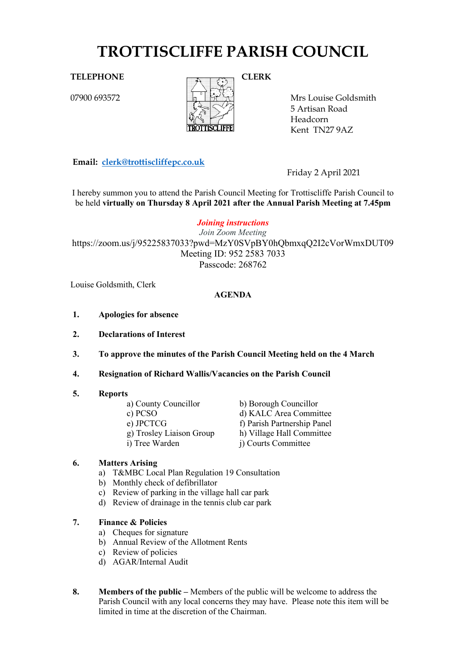# **TROTTISCLIFFE PARISH COUNCIL**

07900 693572



Mrs Louise Goldsmith 5 Artisan Road Headcorn Kent TN27 9AZ

**Email: [clerk@trottiscliffepc.co.uk](mailto:clerk@trottiscliffepc.co.uk)**

Friday 2 April 2021

I hereby summon you to attend the Parish Council Meeting for Trottiscliffe Parish Council to be held **virtually on Thursday 8 April 2021 after the Annual Parish Meeting at 7.45pm**

*Joining instructions*

*Join Zoom Meeting* https://zoom.us/j/95225837033?pwd=MzY0SVpBY0hQbmxqQ2I2cVorWmxDUT09 Meeting ID: 952 2583 7033 Passcode: 268762

Louise Goldsmith, Clerk

### **AGENDA**

- **1. Apologies for absence**
- **2. Declarations of Interest**
- **3. To approve the minutes of the Parish Council Meeting held on the 4 March**
- **4. Resignation of Richard Wallis/Vacancies on the Parish Council**

#### **5. Reports**

| a) County Councillor     | b) Borough Councillor       |
|--------------------------|-----------------------------|
| c) PCSO                  | d) KALC Area Committee      |
| e) JPCTCG                | f) Parish Partnership Panel |
| g) Trosley Liaison Group | h) Village Hall Committee   |
| i) Tree Warden           | j) Courts Committee         |

#### **6. Matters Arising**

- a) T&MBC Local Plan Regulation 19 Consultation
- b) Monthly check of defibrillator
- c) Review of parking in the village hall car park
- d) Review of drainage in the tennis club car park

# **7. Finance & Policies**

- a) Cheques for signature
- b) Annual Review of the Allotment Rents
- c) Review of policies
- d) AGAR/Internal Audit
- **8. Members of the public –** Members of the public will be welcome to address the Parish Council with any local concerns they may have. Please note this item will be limited in time at the discretion of the Chairman.